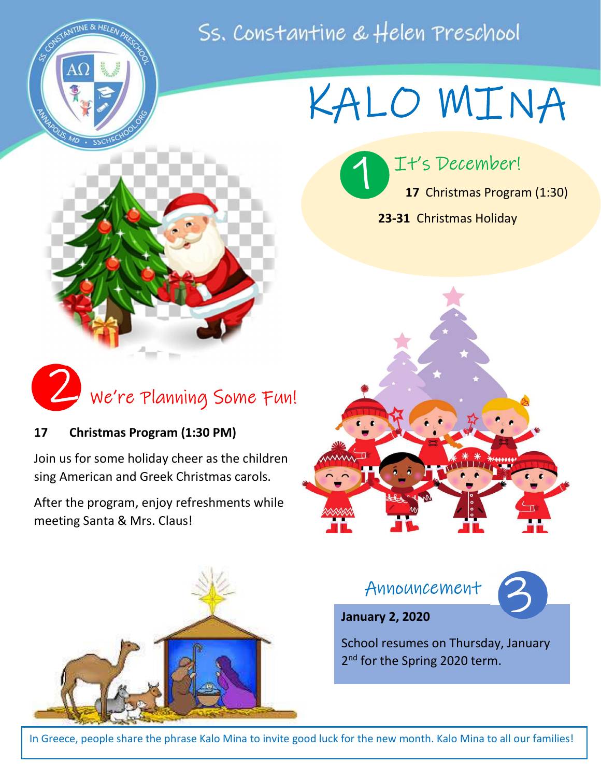## Ss. Constantine & Helen Preschool

 $\mathbf{I}$ 

1



# KALO MINA

It's December!

23-31 Christmas Holiday

17 Christmas Program (1:30)

í



#### 17 Christmas Program (1:30 PM)

Join us for some holiday cheer as the children sing American and Greek Christmas carols.

After the program, enjoy refreshments while meeting Santa & Mrs. Claus!





Announcement



#### January 2, 2020

School resumes on Thursday, January 2<sup>nd</sup> for the Spring 2020 term.

In Greece, people share the phrase Kalo Mina to invite good luck for the new month. Kalo Mina to all our families!